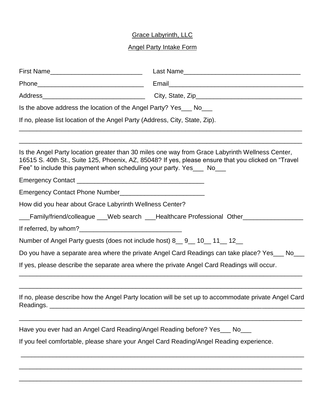## Grace Labyrinth, LLC

## Angel Party Intake Form

| Is the above address the location of the Angel Party? Yes___ No___<br>If no, please list location of the Angel Party (Address, City, State, Zip). |                                                                                                      |
|---------------------------------------------------------------------------------------------------------------------------------------------------|------------------------------------------------------------------------------------------------------|
|                                                                                                                                                   |                                                                                                      |
|                                                                                                                                                   |                                                                                                      |
|                                                                                                                                                   |                                                                                                      |
| How did you hear about Grace Labyrinth Wellness Center?                                                                                           |                                                                                                      |
|                                                                                                                                                   | Family/friend/colleague ___Web search ___Healthcare Professional Other__________                     |
|                                                                                                                                                   |                                                                                                      |
| Number of Angel Party guests (does not include host) 8 _ 9 _ 10 _ 11 _ 12 _                                                                       |                                                                                                      |
|                                                                                                                                                   | Do you have a separate area where the private Angel Card Readings can take place? Yes___ No___       |
| If yes, please describe the separate area where the private Angel Card Readings will occur.                                                       |                                                                                                      |
| Readings.                                                                                                                                         | If no, please describe how the Angel Party location will be set up to accommodate private Angel Card |
| Have you ever had an Angel Card Reading/Angel Reading before? Yes___ No_                                                                          |                                                                                                      |
|                                                                                                                                                   | If you feel comfortable, please share your Angel Card Reading/Angel Reading experience.              |
|                                                                                                                                                   |                                                                                                      |
|                                                                                                                                                   |                                                                                                      |